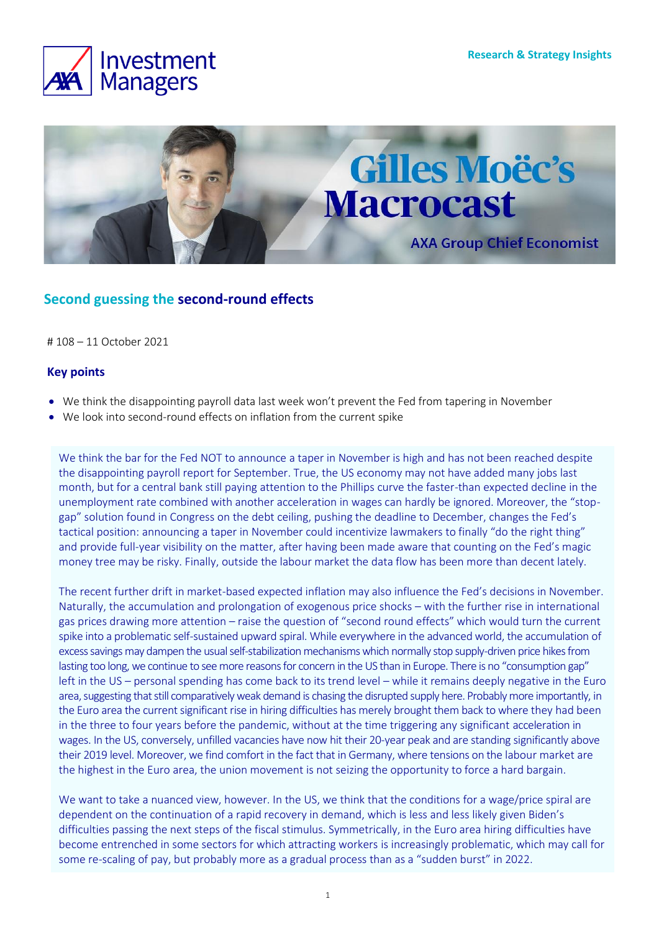



# **Second guessing the second-round effects**

# 108 – 11 October 2021

# **Key points**

- We think the disappointing payroll data last week won't prevent the Fed from tapering in November
- We look into second-round effects on inflation from the current spike

We think the bar for the Fed NOT to announce a taper in November is high and has not been reached despite the disappointing payroll report for September. True, the US economy may not have added many jobs last month, but for a central bank still paying attention to the Phillips curve the faster-than expected decline in the unemployment rate combined with another acceleration in wages can hardly be ignored. Moreover, the "stopgap" solution found in Congress on the debt ceiling, pushing the deadline to December, changes the Fed's tactical position: announcing a taper in November could incentivize lawmakers to finally "do the right thing" and provide full-year visibility on the matter, after having been made aware that counting on the Fed's magic money tree may be risky. Finally, outside the labour market the data flow has been more than decent lately.

The recent further drift in market-based expected inflation may also influence the Fed's decisions in November. Naturally, the accumulation and prolongation of exogenous price shocks – with the further rise in international gas prices drawing more attention – raise the question of "second round effects" which would turn the current spike into a problematic self-sustained upward spiral. While everywhere in the advanced world, the accumulation of excess savings may dampen the usual self-stabilization mechanisms which normally stop supply-driven price hikes from lasting too long, we continue to see more reasons for concern in the US than in Europe. There is no "consumption gap" left in the US – personal spending has come back to its trend level – while it remains deeply negative in the Euro area, suggesting that still comparatively weak demand is chasing the disrupted supply here. Probably more importantly, in the Euro area the current significant rise in hiring difficulties has merely brought them back to where they had been in the three to four years before the pandemic, without at the time triggering any significant acceleration in wages. In the US, conversely, unfilled vacancies have now hit their 20-year peak and are standing significantly above their 2019 level. Moreover, we find comfort in the fact that in Germany, where tensions on the labour market are the highest in the Euro area, the union movement is not seizing the opportunity to force a hard bargain.

We want to take a nuanced view, however. In the US, we think that the conditions for a wage/price spiral are dependent on the continuation of a rapid recovery in demand, which is less and less likely given Biden's difficulties passing the next steps of the fiscal stimulus. Symmetrically, in the Euro area hiring difficulties have become entrenched in some sectors for which attracting workers is increasingly problematic, which may call for some re-scaling of pay, but probably more as a gradual process than as a "sudden burst" in 2022.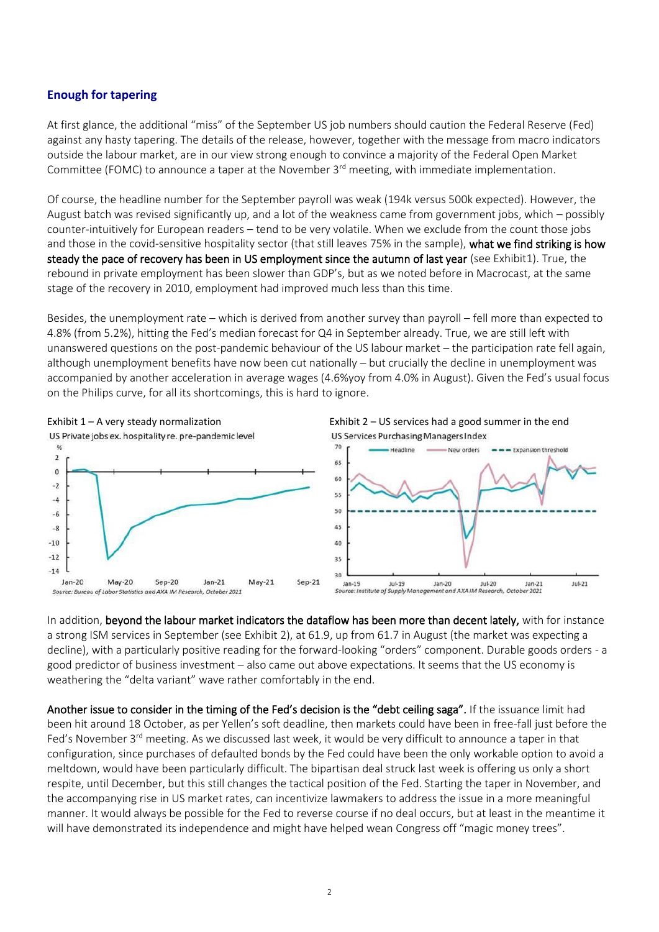# **Enough for tapering**

At first glance, the additional "miss" of the September US job numbers should caution the Federal Reserve (Fed) against any hasty tapering. The details of the release, however, together with the message from macro indicators outside the labour market, are in our view strong enough to convince a majority of the Federal Open Market Committee (FOMC) to announce a taper at the November 3<sup>rd</sup> meeting, with immediate implementation.

Of course, the headline number for the September payroll was weak (194k versus 500k expected). However, the August batch was revised significantly up, and a lot of the weakness came from government jobs, which – possibly counter-intuitively for European readers – tend to be very volatile. When we exclude from the count those jobs and those in the covid-sensitive hospitality sector (that still leaves 75% in the sample), what we find striking is how steady the pace of recovery has been in US employment since the autumn of last year (see Exhibit1). True, the rebound in private employment has been slower than GDP's, but as we noted before in Macrocast, at the same stage of the recovery in 2010, employment had improved much less than this time.

Besides, the unemployment rate – which is derived from another survey than payroll – fell more than expected to 4.8% (from 5.2%), hitting the Fed's median forecast for Q4 in September already. True, we are still left with unanswered questions on the post-pandemic behaviour of the US labour market – the participation rate fell again, although unemployment benefits have now been cut nationally – but crucially the decline in unemployment was accompanied by another acceleration in average wages (4.6%yoy from 4.0% in August). Given the Fed's usual focus on the Philips curve, for all its shortcomings, this is hard to ignore.



In addition, beyond the labour market indicators the dataflow has been more than decent lately, with for instance a strong ISM services in September (see Exhibit 2), at 61.9, up from 61.7 in August (the market was expecting a decline), with a particularly positive reading for the forward-looking "orders" component. Durable goods orders - a good predictor of business investment – also came out above expectations. It seems that the US economy is weathering the "delta variant" wave rather comfortably in the end.

 $Ju$ <sub>21</sub>

Another issue to consider in the timing of the Fed's decision is the "debt ceiling saga". If the issuance limit had been hit around 18 October, as per Yellen's soft deadline, then markets could have been in free-fall just before the Fed's November 3<sup>rd</sup> meeting. As we discussed last week, it would be very difficult to announce a taper in that configuration, since purchases of defaulted bonds by the Fed could have been the only workable option to avoid a meltdown, would have been particularly difficult. The bipartisan deal struck last week is offering us only a short respite, until December, but this still changes the tactical position of the Fed. Starting the taper in November, and the accompanying rise in US market rates, can incentivize lawmakers to address the issue in a more meaningful manner. It would always be possible for the Fed to reverse course if no deal occurs, but at least in the meantime it will have demonstrated its independence and might have helped wean Congress off "magic money trees".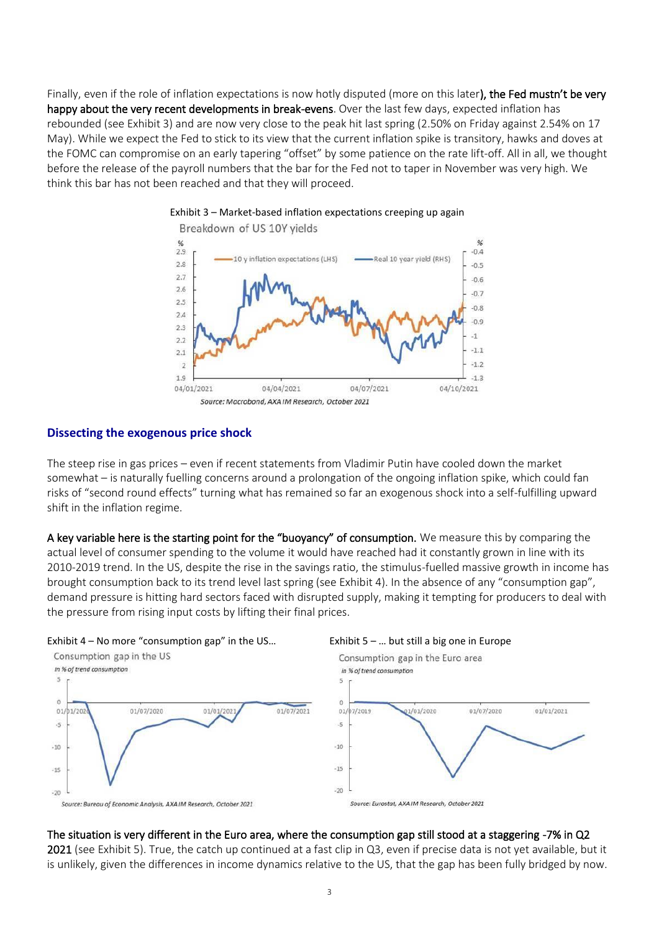Finally, even if the role of inflation expectations is now hotly disputed (more on this later), the Fed mustn't be very happy about the very recent developments in break-evens. Over the last few days, expected inflation has rebounded (see Exhibit 3) and are now very close to the peak hit last spring (2.50% on Friday against 2.54% on 17 May). While we expect the Fed to stick to its view that the current inflation spike is transitory, hawks and doves at the FOMC can compromise on an early tapering "offset" by some patience on the rate lift-off. All in all, we thought before the release of the payroll numbers that the bar for the Fed not to taper in November was very high. We think this bar has not been reached and that they will proceed.



# Exhibit 3 – Market-based inflation expectations creeping up again

# **Dissecting the exogenous price shock**

The steep rise in gas prices – even if recent statements from Vladimir Putin have cooled down the market somewhat – is naturally fuelling concerns around a prolongation of the ongoing inflation spike, which could fan risks of "second round effects" turning what has remained so far an exogenous shock into a self-fulfilling upward shift in the inflation regime.

A key variable here is the starting point for the "buoyancy" of consumption. We measure this by comparing the actual level of consumer spending to the volume it would have reached had it constantly grown in line with its 2010-2019 trend. In the US, despite the rise in the savings ratio, the stimulus-fuelled massive growth in income has brought consumption back to its trend level last spring (see Exhibit 4). In the absence of any "consumption gap", demand pressure is hitting hard sectors faced with disrupted supply, making it tempting for producers to deal with the pressure from rising input costs by lifting their final prices.



### The situation is very different in the Euro area, where the consumption gap still stood at a staggering -7% in Q2

2021 (see Exhibit 5). True, the catch up continued at a fast clip in Q3, even if precise data is not yet available, but it is unlikely, given the differences in income dynamics relative to the US, that the gap has been fully bridged by now.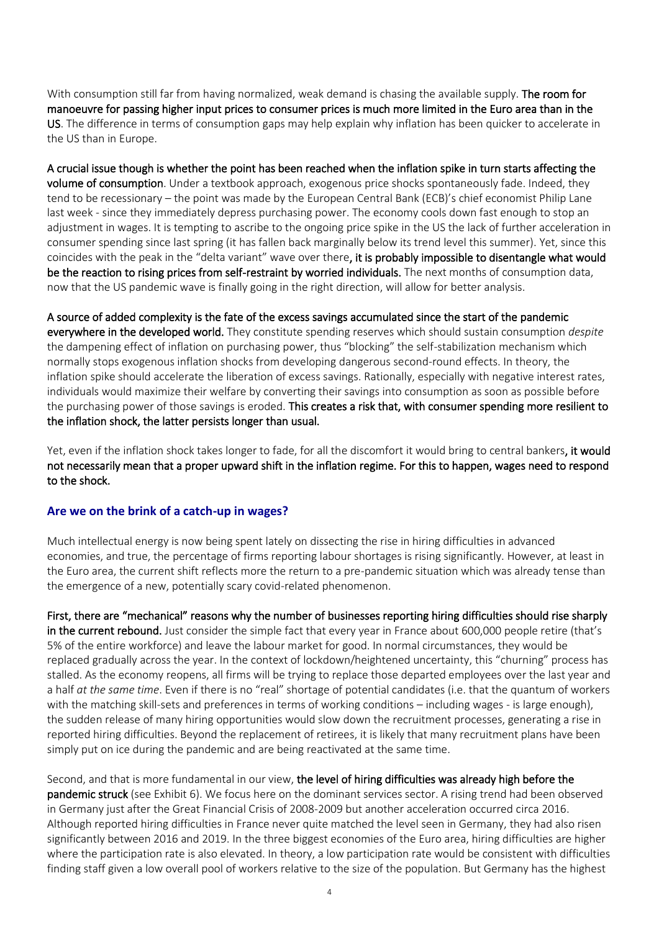With consumption still far from having normalized, weak demand is chasing the available supply. The room for manoeuvre for passing higher input prices to consumer prices is much more limited in the Euro area than in the US. The difference in terms of consumption gaps may help explain why inflation has been quicker to accelerate in the US than in Europe.

A crucial issue though is whether the point has been reached when the inflation spike in turn starts affecting the volume of consumption. Under a textbook approach, exogenous price shocks spontaneously fade. Indeed, they tend to be recessionary – the point was made by the European Central Bank (ECB)'s chief economist Philip Lane last week - since they immediately depress purchasing power. The economy cools down fast enough to stop an adjustment in wages. It is tempting to ascribe to the ongoing price spike in the US the lack of further acceleration in consumer spending since last spring (it has fallen back marginally below its trend level this summer). Yet, since this coincides with the peak in the "delta variant" wave over there, it is probably impossible to disentangle what would be the reaction to rising prices from self-restraint by worried individuals. The next months of consumption data, now that the US pandemic wave is finally going in the right direction, will allow for better analysis.

A source of added complexity is the fate of the excess savings accumulated since the start of the pandemic everywhere in the developed world. They constitute spending reserves which should sustain consumption *despite*  the dampening effect of inflation on purchasing power, thus "blocking" the self-stabilization mechanism which normally stops exogenous inflation shocks from developing dangerous second-round effects. In theory, the inflation spike should accelerate the liberation of excess savings. Rationally, especially with negative interest rates, individuals would maximize their welfare by converting their savings into consumption as soon as possible before the purchasing power of those savings is eroded. This creates a risk that, with consumer spending more resilient to the inflation shock, the latter persists longer than usual.

Yet, even if the inflation shock takes longer to fade, for all the discomfort it would bring to central bankers, it would not necessarily mean that a proper upward shift in the inflation regime. For this to happen, wages need to respond to the shock.

# **Are we on the brink of a catch-up in wages?**

Much intellectual energy is now being spent lately on dissecting the rise in hiring difficulties in advanced economies, and true, the percentage of firms reporting labour shortages is rising significantly. However, at least in the Euro area, the current shift reflects more the return to a pre-pandemic situation which was already tense than the emergence of a new, potentially scary covid-related phenomenon.

First, there are "mechanical" reasons why the number of businesses reporting hiring difficulties should rise sharply in the current rebound. Just consider the simple fact that every year in France about 600,000 people retire (that's 5% of the entire workforce) and leave the labour market for good. In normal circumstances, they would be replaced gradually across the year. In the context of lockdown/heightened uncertainty, this "churning" process has stalled. As the economy reopens, all firms will be trying to replace those departed employees over the last year and a half *at the same time*. Even if there is no "real" shortage of potential candidates (i.e. that the quantum of workers with the matching skill-sets and preferences in terms of working conditions – including wages - is large enough), the sudden release of many hiring opportunities would slow down the recruitment processes, generating a rise in reported hiring difficulties. Beyond the replacement of retirees, it is likely that many recruitment plans have been simply put on ice during the pandemic and are being reactivated at the same time.

Second, and that is more fundamental in our view, the level of hiring difficulties was already high before the pandemic struck (see Exhibit 6). We focus here on the dominant services sector. A rising trend had been observed in Germany just after the Great Financial Crisis of 2008-2009 but another acceleration occurred circa 2016. Although reported hiring difficulties in France never quite matched the level seen in Germany, they had also risen significantly between 2016 and 2019. In the three biggest economies of the Euro area, hiring difficulties are higher where the participation rate is also elevated. In theory, a low participation rate would be consistent with difficulties finding staff given a low overall pool of workers relative to the size of the population. But Germany has the highest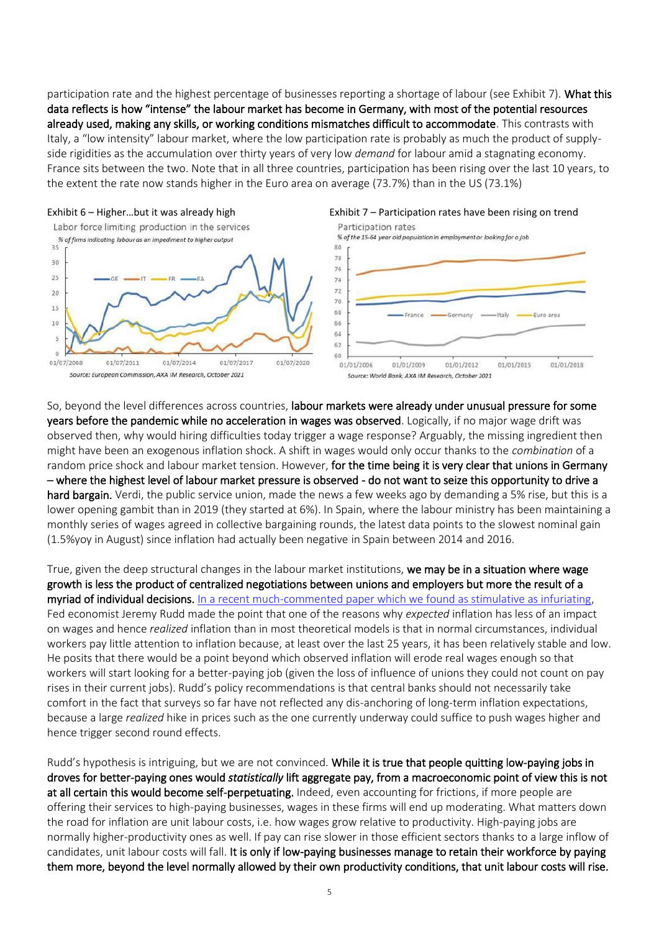participation rate and the highest percentage of businesses reporting a shortage of labour (see Exhibit 7). What this data reflects is how "intense" the labour market has become in Germany, with most of the potential resources already used, making any skills, or working conditions mismatches difficult to accommodate. This contrasts with Italy, a "low intensity" labour market, where the low participation rate is probably as much the product of supplyside rigidities as the accumulation over thirty years of very low *demand* for labour amid a stagnating economy. France sits between the two. Note that in all three countries, participation has been rising over the last 10 years, to the extent the rate now stands higher in the Euro area on average (73.7%) than in the US (73.1%)





So, beyond the level differences across countries, labour markets were already under unusual pressure for some years before the pandemic while no acceleration in wages was observed. Logically, if no major wage drift was observed then, why would hiring difficulties today trigger a wage response? Arguably, the missing ingredient then might have been an exogenous inflation shock. A shift in wages would only occur thanks to the *combination* of a random price shock and labour market tension. However, for the time being it is very clear that unions in Germany – where the highest level of labour market pressure is observed - do not want to seize this opportunity to drive a hard bargain. Verdi, the public service union, made the news a few weeks ago by demanding a 5% rise, but this is a lower opening gambit than in 2019 (they started at 6%). In Spain, where the labour ministry has been maintaining a monthly series of wages agreed in collective bargaining rounds, the latest data points to the slowest nominal gain (1.5%yoy in August) since inflation had actually been negative in Spain between 2014 and 2016.

True, given the deep structural changes in the labour market institutions, we may be in a situation where wage growth is less the product of centralized negotiations between unions and employers but more the result of a myriad of individual decisions. [In a recent much-commented paper which we found as stimulative as infuriating,](https://www.federalreserve.gov/econres/feds/why-do-we-think-that-inflation-expectations-matter-for-Inflation-and-should-we.htm) Fed economist Jeremy Rudd made the point that one of the reasons why *expected* inflation has less of an impact on wages and hence *realized* inflation than in most theoretical models is that in normal circumstances, individual workers pay little attention to inflation because, at least over the last 25 years, it has been relatively stable and low. He posits that there would be a point beyond which observed inflation will erode real wages enough so that workers will start looking for a better-paying job (given the loss of influence of unions they could not count on pay rises in their current jobs). Rudd's policy recommendations is that central banks should not necessarily take comfort in the fact that surveys so far have not reflected any dis-anchoring of long-term inflation expectations, because a large *realized* hike in prices such as the one currently underway could suffice to push wages higher and hence trigger second round effects.

Rudd's hypothesis is intriguing, but we are not convinced. While it is true that people quitting low-paying jobs in droves for better-paying ones would *statistically* lift aggregate pay, from a macroeconomic point of view this is not at all certain this would become self-perpetuating. Indeed, even accounting for frictions, if more people are offering their services to high-paying businesses, wages in these firms will end up moderating. What matters down the road for inflation are unit labour costs, i.e. how wages grow relative to productivity. High-paying jobs are normally higher-productivity ones as well. If pay can rise slower in those efficient sectors thanks to a large inflow of candidates, unit labour costs will fall. It is only if low-paying businesses manage to retain their workforce by paying them more, beyond the level normally allowed by their own productivity conditions, that unit labour costs will rise.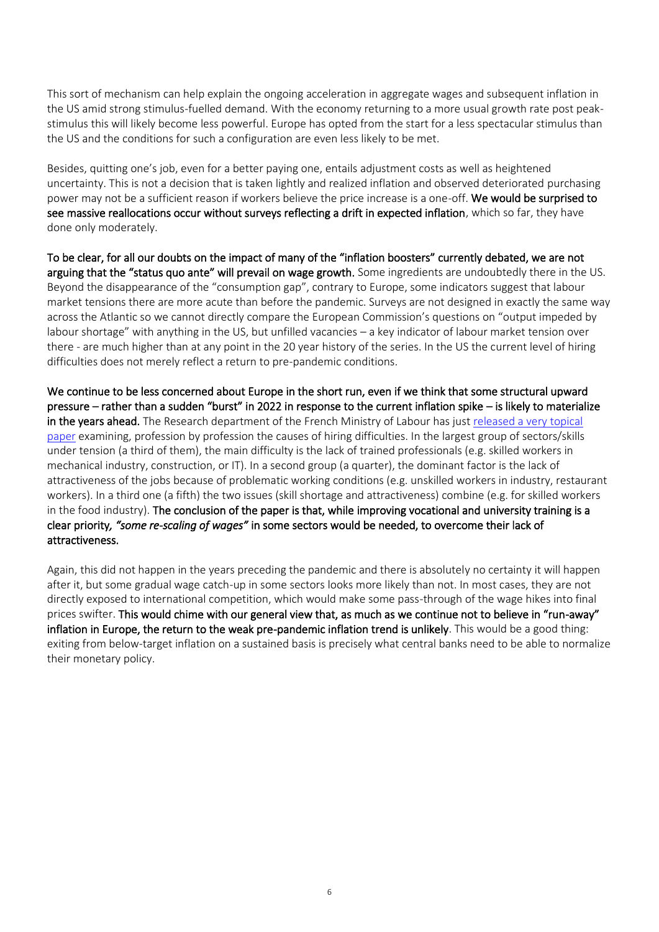This sort of mechanism can help explain the ongoing acceleration in aggregate wages and subsequent inflation in the US amid strong stimulus-fuelled demand. With the economy returning to a more usual growth rate post peakstimulus this will likely become less powerful. Europe has opted from the start for a less spectacular stimulus than the US and the conditions for such a configuration are even less likely to be met.

Besides, quitting one's job, even for a better paying one, entails adjustment costs as well as heightened uncertainty. This is not a decision that is taken lightly and realized inflation and observed deteriorated purchasing power may not be a sufficient reason if workers believe the price increase is a one-off. We would be surprised to see massive reallocations occur without surveys reflecting a drift in expected inflation, which so far, they have done only moderately.

To be clear, for all our doubts on the impact of many of the "inflation boosters" currently debated, we are not arguing that the "status quo ante" will prevail on wage growth. Some ingredients are undoubtedly there in the US. Beyond the disappearance of the "consumption gap", contrary to Europe, some indicators suggest that labour market tensions there are more acute than before the pandemic. Surveys are not designed in exactly the same way across the Atlantic so we cannot directly compare the European Commission's questions on "output impeded by labour shortage" with anything in the US, but unfilled vacancies – a key indicator of labour market tension over there - are much higher than at any point in the 20 year history of the series. In the US the current level of hiring difficulties does not merely reflect a return to pre-pandemic conditions.

We continue to be less concerned about Europe in the short run, even if we think that some structural upward pressure – rather than a sudden "burst" in 2022 in response to the current inflation spike – is likely to materialize in the years ahead. The Research department of the French Ministry of Labour has just released a very topical [paper](https://dares.travail-emploi.gouv.fr/publication/quelle-relation-entre-difficultes-de-recrutement-et-taux-de-chomage?at_medium=email&at_emailtype=retention&at_campaign=presse&at_creation=presse&at_send_date=20213009&at_link=&at_recipient_id=&at_recipient_list=#toc--t-l-charger-2) examining, profession by profession the causes of hiring difficulties. In the largest group of sectors/skills under tension (a third of them), the main difficulty is the lack of trained professionals (e.g. skilled workers in mechanical industry, construction, or IT). In a second group (a quarter), the dominant factor is the lack of attractiveness of the jobs because of problematic working conditions (e.g. unskilled workers in industry, restaurant workers). In a third one (a fifth) the two issues (skill shortage and attractiveness) combine (e.g. for skilled workers in the food industry). The conclusion of the paper is that, while improving vocational and university training is a clear priority*, "some re-scaling of wages"* in some sectors would be needed, to overcome their lack of attractiveness.

Again, this did not happen in the years preceding the pandemic and there is absolutely no certainty it will happen after it, but some gradual wage catch-up in some sectors looks more likely than not. In most cases, they are not directly exposed to international competition, which would make some pass-through of the wage hikes into final prices swifter. This would chime with our general view that, as much as we continue not to believe in "run-away" inflation in Europe, the return to the weak pre-pandemic inflation trend is unlikely. This would be a good thing: exiting from below-target inflation on a sustained basis is precisely what central banks need to be able to normalize their monetary policy.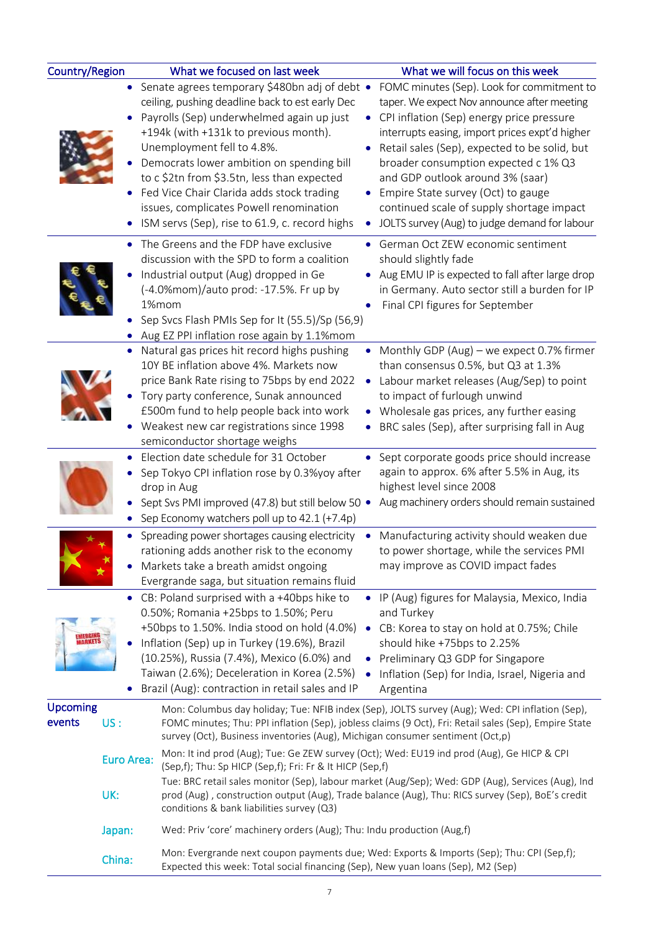| <b>Country/Region</b>     |                          | What we focused on last week                                                                                                                                                                                                                                                                                                                                                                                                                                           | What we will focus on this week                                                                                                                                                                                                                                                                                                                                                                                                                           |
|---------------------------|--------------------------|------------------------------------------------------------------------------------------------------------------------------------------------------------------------------------------------------------------------------------------------------------------------------------------------------------------------------------------------------------------------------------------------------------------------------------------------------------------------|-----------------------------------------------------------------------------------------------------------------------------------------------------------------------------------------------------------------------------------------------------------------------------------------------------------------------------------------------------------------------------------------------------------------------------------------------------------|
|                           |                          | • Senate agrees temporary \$480bn adj of debt .<br>ceiling, pushing deadline back to est early Dec<br>Payrolls (Sep) underwhelmed again up just<br>٠<br>+194k (with +131k to previous month).<br>Unemployment fell to 4.8%.<br>Democrats lower ambition on spending bill<br>to c \$2tn from \$3.5tn, less than expected<br>Fed Vice Chair Clarida adds stock trading<br>issues, complicates Powell renomination<br>ISM servs (Sep), rise to 61.9, c. record highs<br>٠ | FOMC minutes (Sep). Look for commitment to<br>taper. We expect Nov announce after meeting<br>CPI inflation (Sep) energy price pressure<br>interrupts easing, import prices expt'd higher<br>Retail sales (Sep), expected to be solid, but<br>broader consumption expected c 1% Q3<br>and GDP outlook around 3% (saar)<br>Empire State survey (Oct) to gauge<br>continued scale of supply shortage impact<br>JOLTS survey (Aug) to judge demand for labour |
|                           |                          | • The Greens and the FDP have exclusive<br>discussion with the SPD to form a coalition<br>Industrial output (Aug) dropped in Ge<br>(-4.0%mom)/auto prod: -17.5%. Fr up by<br>1%mom<br>Sep Svcs Flash PMIs Sep for It (55.5)/Sp (56,9)<br>• Aug EZ PPI inflation rose again by 1.1%mom                                                                                                                                                                                  | • German Oct ZEW economic sentiment<br>should slightly fade<br>• Aug EMU IP is expected to fall after large drop<br>in Germany. Auto sector still a burden for IP<br>Final CPI figures for September                                                                                                                                                                                                                                                      |
|                           | $\bullet$                | Natural gas prices hit record highs pushing<br>10Y BE inflation above 4%. Markets now<br>price Bank Rate rising to 75bps by end 2022<br>$\bullet$<br>Tory party conference, Sunak announced<br>£500m fund to help people back into work<br>Weakest new car registrations since 1998<br>semiconductor shortage weighs                                                                                                                                                   | • Monthly GDP (Aug) - we expect 0.7% firmer<br>than consensus 0.5%, but Q3 at 1.3%<br>Labour market releases (Aug/Sep) to point<br>to impact of furlough unwind<br>Wholesale gas prices, any further easing<br>BRC sales (Sep), after surprising fall in Aug                                                                                                                                                                                              |
|                           | $\bullet$                | Election date schedule for 31 October<br>$\bullet$<br>Sep Tokyo CPI inflation rose by 0.3%yoy after<br>drop in Aug<br>Sept Svs PMI improved (47.8) but still below 50 •<br>Sep Economy watchers poll up to 42.1 (+7.4p)                                                                                                                                                                                                                                                | Sept corporate goods price should increase<br>again to approx. 6% after 5.5% in Aug, its<br>highest level since 2008<br>Aug machinery orders should remain sustained                                                                                                                                                                                                                                                                                      |
|                           | $\bullet$                | Spreading power shortages causing electricity<br>rationing adds another risk to the economy<br>Markets take a breath amidst ongoing<br>Evergrande saga, but situation remains fluid                                                                                                                                                                                                                                                                                    | Manufacturing activity should weaken due<br>to power shortage, while the services PMI<br>may improve as COVID impact fades                                                                                                                                                                                                                                                                                                                                |
|                           |                          | • CB: Poland surprised with a +40bps hike to<br>$\bullet$<br>0.50%; Romania +25bps to 1.50%; Peru<br>+50bps to 1.50%. India stood on hold (4.0%)<br>Inflation (Sep) up in Turkey (19.6%), Brazil<br>(10.25%), Russia (7.4%), Mexico (6.0%) and<br>Taiwan (2.6%); Deceleration in Korea (2.5%)<br>Brazil (Aug): contraction in retail sales and IP                                                                                                                      | IP (Aug) figures for Malaysia, Mexico, India<br>and Turkey<br>• CB: Korea to stay on hold at 0.75%; Chile<br>should hike +75bps to 2.25%<br>Preliminary Q3 GDP for Singapore<br>Inflation (Sep) for India, Israel, Nigeria and<br>Argentina                                                                                                                                                                                                               |
| <b>Upcoming</b><br>events | US:                      | survey (Oct), Business inventories (Aug), Michigan consumer sentiment (Oct,p)                                                                                                                                                                                                                                                                                                                                                                                          | Mon: Columbus day holiday; Tue: NFIB index (Sep), JOLTS survey (Aug); Wed: CPI inflation (Sep),<br>FOMC minutes; Thu: PPI inflation (Sep), jobless claims (9 Oct), Fri: Retail sales (Sep), Empire State                                                                                                                                                                                                                                                  |
|                           | <b>Euro Area:</b><br>UK: | Mon: It ind prod (Aug); Tue: Ge ZEW survey (Oct); Wed: EU19 ind prod (Aug), Ge HICP & CPI<br>(Sep,f); Thu: Sp HICP (Sep,f); Fri: Fr & It HICP (Sep,f)<br>conditions & bank liabilities survey (Q3)                                                                                                                                                                                                                                                                     | Tue: BRC retail sales monitor (Sep), labour market (Aug/Sep); Wed: GDP (Aug), Services (Aug), Ind<br>prod (Aug), construction output (Aug), Trade balance (Aug), Thu: RICS survey (Sep), BoE's credit                                                                                                                                                                                                                                                     |
|                           | Japan:                   | Wed: Priv 'core' machinery orders (Aug); Thu: Indu production (Aug,f)                                                                                                                                                                                                                                                                                                                                                                                                  |                                                                                                                                                                                                                                                                                                                                                                                                                                                           |
|                           | China:                   | Mon: Evergrande next coupon payments due; Wed: Exports & Imports (Sep); Thu: CPI (Sep,f);<br>Expected this week: Total social financing (Sep), New yuan loans (Sep), M2 (Sep)                                                                                                                                                                                                                                                                                          |                                                                                                                                                                                                                                                                                                                                                                                                                                                           |